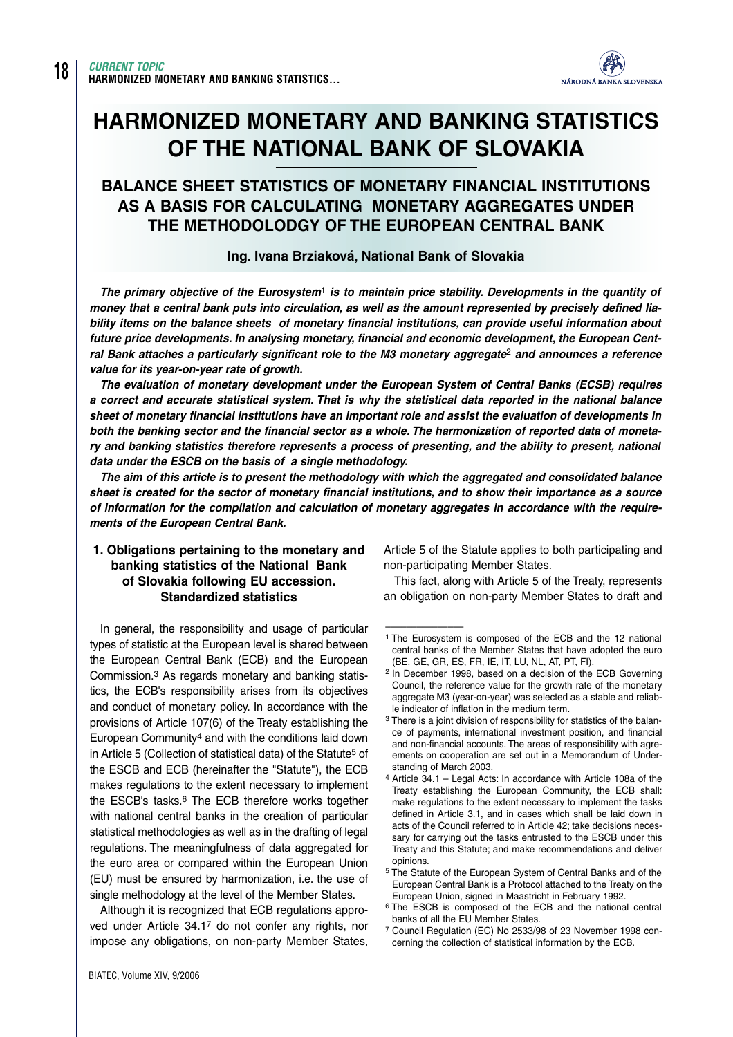

# **HARMONIZED MONETARY AND BANKING STATISTICS OF THE NATIONAL BANK OF SLOVAKIA**

# **BALANCE SHEET STATISTICS OF MONETARY FINANCIAL INSTITUTIONS AS A BASIS FOR CALCULATING MONETARY AGGREGATES UNDER THE METHODOLODGY OF THE EUROPEAN CENTRAL BANK**

## **Ing. Ivana Brziaková, National Bank of Slovakia**

*The primary objective of the Eurosystem*<sup>1</sup> *is to maintain price stability. Developments in the quantity of money that a central bank puts into circulation, as well as the amount represented by precisely defined liability items on the balance sheets of monetary financial institutions, can provide useful information about future price developments. In analysing monetary, financial and economic development, the European Central Bank attaches a particularly significant role to the M3 monetary aggregate*<sup>2</sup> *and announces a reference value for its year-on-year rate of growth.*

*The evaluation of monetary development under the European System of Central Banks (ECSB) requires a correct and accurate statistical system. That is why the statistical data reported in the national balance sheet of monetary financial institutions have an important role and assist the evaluation of developments in both the banking sector and the financial sector as a whole. The harmonization of reported data of monetary and banking statistics therefore represents a process of presenting, and the ability to present, national data under the ESCB on the basis of a single methodology.*

*The aim of this article is to present the methodology with which the aggregated and consolidated balance sheet is created for the sector of monetary financial institutions, and to show their importance as a source of information for the compilation and calculation of monetary aggregates in accordance with the requirements of the European Central Bank.*

# **1. Obligations pertaining to the monetary and banking statistics of the National Bank of Slovakia following EU accession. Standardized statistics**

In general, the responsibility and usage of particular types of statistic at the European level is shared between the European Central Bank (ECB) and the European Commission.3 As regards monetary and banking statistics, the ECB's responsibility arises from its objectives and conduct of monetary policy. In accordance with the provisions of Article 107(6) of the Treaty establishing the European Community4 and with the conditions laid down in Article 5 (Collection of statistical data) of the Statute5 of the ESCB and ECB (hereinafter the "Statute"), the ECB makes regulations to the extent necessary to implement the ESCB's tasks.6 The ECB therefore works together with national central banks in the creation of particular statistical methodologies as well as in the drafting of legal regulations. The meaningfulness of data aggregated for the euro area or compared within the European Union (EU) must be ensured by harmonization, i.e. the use of single methodology at the level of the Member States.

Although it is recognized that ECB regulations approved under Article 34.17 do not confer any rights, nor impose any obligations, on non-party Member States,

Article 5 of the Statute applies to both participating and non-participating Member States.

This fact, along with Article 5 of the Treaty, represents an obligation on non-party Member States to draft and

<sup>–––––––––––––––</sup> <sup>1</sup> The Eurosystem is composed of the ECB and the 12 national central banks of the Member States that have adopted the euro (BE, GE, GR, ES, FR, IE, IT, LU, NL, AT, PT, FI).

<sup>2</sup> In December 1998, based on a decision of the ECB Governing Council, the reference value for the growth rate of the monetary aggregate M3 (year-on-year) was selected as a stable and reliable indicator of inflation in the medium term.

<sup>3</sup> There is a joint division of responsibility for statistics of the balance of payments, international investment position, and financial and non-financial accounts. The areas of responsibility with agreements on cooperation are set out in a Memorandum of Understanding of March 2003.

<sup>4</sup> Article 34.1 – Legal Acts: In accordance with Article 108a of the Treaty establishing the European Community, the ECB shall: make regulations to the extent necessary to implement the tasks defined in Article 3.1, and in cases which shall be laid down in acts of the Council referred to in Article 42; take decisions necessary for carrying out the tasks entrusted to the ESCB under this Treaty and this Statute; and make recommendations and deliver opinions.

<sup>5</sup> The Statute of the European System of Central Banks and of the European Central Bank is a Protocol attached to the Treaty on the European Union, signed in Maastricht in February 1992.

<sup>6</sup> The ESCB is composed of the ECB and the national central banks of all the EU Member States.

<sup>7</sup> Council Regulation (EC) No 2533/98 of 23 November 1998 concerning the collection of statistical information by the ECB.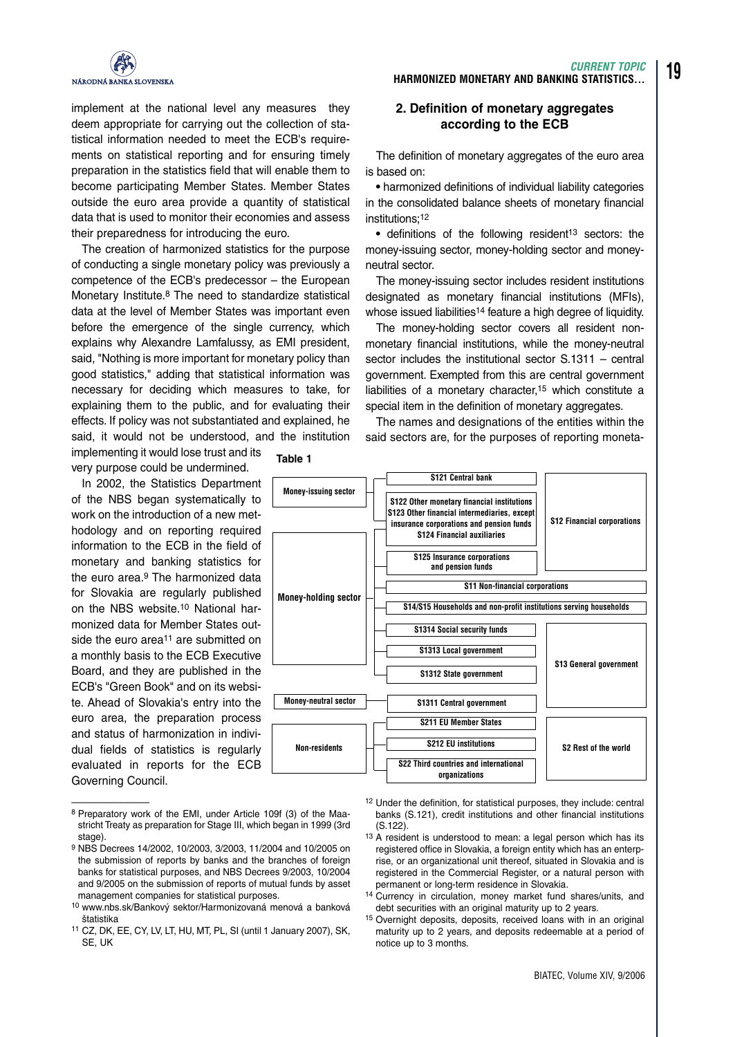

implement at the national level any measures they deem appropriate for carrying out the collection of statistical information needed to meet the ECB's requirements on statistical reporting and for ensuring timely preparation in the statistics field that will enable them to become participating Member States. Member States outside the euro area provide a quantity of statistical data that is used to monitor their economies and assess their preparedness for introducing the euro.

The creation of harmonized statistics for the purpose of conducting a single monetary policy was previously a competence of the ECB's predecessor – the European Monetary Institute.8 The need to standardize statistical data at the level of Member States was important even before the emergence of the single currency, which explains why Alexandre Lamfalussy, as EMI president, said, "Nothing is more important for monetary policy than good statistics," adding that statistical information was necessary for deciding which measures to take, for explaining them to the public, and for evaluating their effects. If policy was not substantiated and explained, he said, it would not be understood, and the institution

implementing it would lose trust and its very purpose could be undermined.

In 2002, the Statistics Department of the NBS began systematically to work on the introduction of a new methodology and on reporting required information to the ECB in the field of monetary and banking statistics for the euro area.<sup>9</sup> The harmonized data for Slovakia are regularly published on the NBS website.10 National harmonized data for Member States outside the euro area<sup>11</sup> are submitted on a monthly basis to the ECB Executive Board, and they are published in the ECB's "Green Book" and on its website. Ahead of Slovakia's entry into the euro area, the preparation process and status of harmonization in individual fields of statistics is regularly evaluated in reports for the ECB Governing Council.

–––––––––––––––

# **2. Definition of monetary aggregates according to the ECB**

The definition of monetary aggregates of the euro area is based on:

**•** harmonized definitions of individual liability categories in the consolidated balance sheets of monetary financial institutions;12

• definitions of the following resident<sup>13</sup> sectors: the money-issuing sector, money-holding sector and moneyneutral sector.

The money-issuing sector includes resident institutions designated as monetary financial institutions (MFIs), whose issued liabilities<sup>14</sup> feature a high degree of liquidity.

The money-holding sector covers all resident nonmonetary financial institutions, while the money-neutral sector includes the institutional sector S.1311 – central government. Exempted from this are central government liabilities of a monetary character,15 which constitute a special item in the definition of monetary aggregates.

The names and designations of the entities within the said sectors are, for the purposes of reporting moneta-



- <sup>12</sup> Under the definition, for statistical purposes, they include: central banks (S.121), credit institutions and other financial institutions (S.122).
- <sup>13</sup> A resident is understood to mean: a legal person which has its registered office in Slovakia, a foreign entity which has an enterprise, or an organizational unit thereof, situated in Slovakia and is registered in the Commercial Register, or a natural person with permanent or long-term residence in Slovakia.
- <sup>14</sup> Currency in circulation, money market fund shares/units, and debt securities with an original maturity up to 2 years.
- <sup>15</sup> Overnight deposits, deposits, received loans with in an original maturity up to 2 years, and deposits redeemable at a period of notice up to 3 months.

**19**

<sup>8</sup> Preparatory work of the EMI, under Article 109f (3) of the Maastricht Treaty as preparation for Stage III, which began in 1999 (3rd stage).

<sup>9</sup> NBS Decrees 14/2002, 10/2003, 3/2003, 11/2004 and 10/2005 on the submission of reports by banks and the branches of foreign banks for statistical purposes, and NBS Decrees 9/2003, 10/2004 and 9/2005 on the submission of reports of mutual funds by asset management companies for statistical purposes.

<sup>10</sup> www.nbs.sk/Bankový sektor/Harmonizovaná menová a banková štatistika

<sup>11</sup> CZ, DK, EE, CY, LV, LT, HU, MT, PL, SI (until 1 January 2007), SK, SE, UK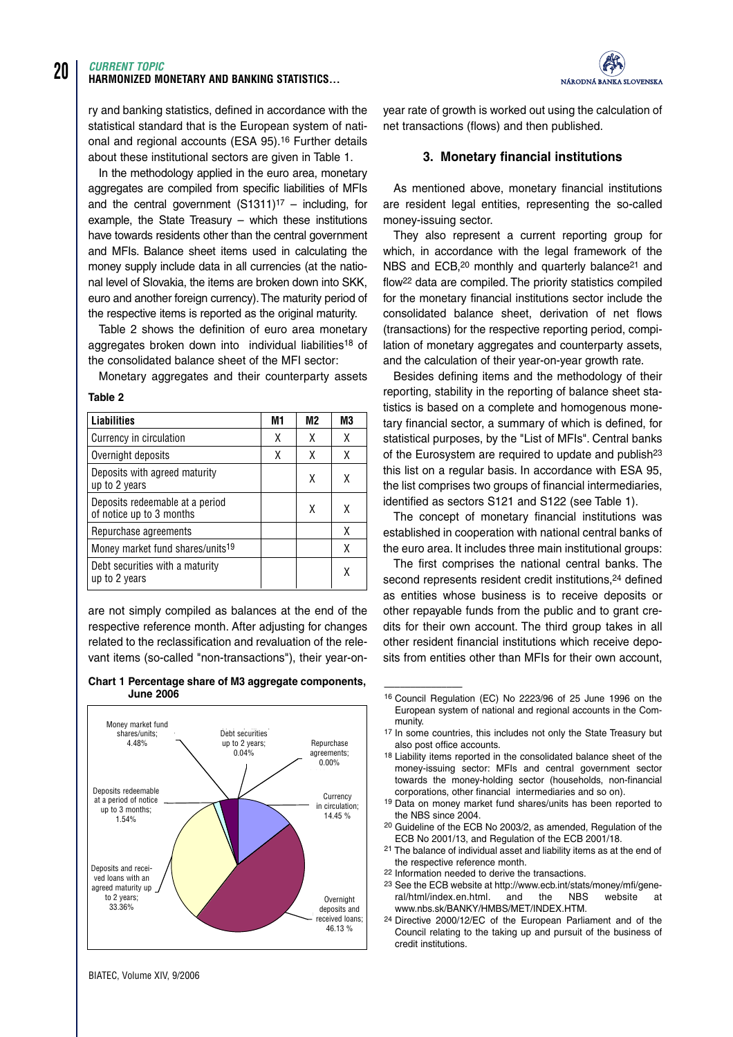# **20**

#### *CURRENT TOPIC*  **HARMONIZED MONETARY AND BANKING STATISTICS...**

ry and banking statistics, defined in accordance with the statistical standard that is the European system of national and regional accounts (ESA 95).16 Further details about these institutional sectors are given in Table 1.

In the methodology applied in the euro area, monetary aggregates are compiled from specific liabilities of MFIs and the central government  $(S1311)^{17}$  – including, for example, the State Treasury – which these institutions have towards residents other than the central government and MFIs. Balance sheet items used in calculating the money supply include data in all currencies (at the national level of Slovakia, the items are broken down into SKK, euro and another foreign currency).The maturity period of the respective items is reported as the original maturity.

Table 2 shows the definition of euro area monetary aggregates broken down into individual liabilities18 of the consolidated balance sheet of the MFI sector:

Monetary aggregates and their counterparty assets

#### **Table 2**

| <b>Liabilities</b>                                          | M1 | M2 | M3 |
|-------------------------------------------------------------|----|----|----|
| Currency in circulation                                     | χ  | χ  | X  |
| Overnight deposits                                          | χ  | χ  | χ  |
| Deposits with agreed maturity<br>up to 2 years              |    | χ  |    |
| Deposits redeemable at a period<br>of notice up to 3 months |    | χ  |    |
| Repurchase agreements                                       |    |    | χ  |
| Money market fund shares/units <sup>19</sup>                |    |    | χ  |
| Debt securities with a maturity<br>up to 2 years            |    |    |    |

are not simply compiled as balances at the end of the respective reference month. After adjusting for changes related to the reclassification and revaluation of the relevant items (so-called "non-transactions"), their year-on-

#### **Chart 1 Percentage share of M3 aggregate components, June 2006**



year rate of growth is worked out using the calculation of net transactions (flows) and then published.

### **3. Monetary financial institutions**

As mentioned above, monetary financial institutions are resident legal entities, representing the so-called money-issuing sector.

They also represent a current reporting group for which, in accordance with the legal framework of the NBS and ECB.<sup>20</sup> monthly and quarterly balance<sup>21</sup> and flow22 data are compiled. The priority statistics compiled for the monetary financial institutions sector include the consolidated balance sheet, derivation of net flows (transactions) for the respective reporting period, compilation of monetary aggregates and counterparty assets, and the calculation of their year-on-year growth rate.

Besides defining items and the methodology of their reporting, stability in the reporting of balance sheet statistics is based on a complete and homogenous monetary financial sector, a summary of which is defined, for statistical purposes, by the "List of MFIs". Central banks of the Eurosystem are required to update and publish<sup>23</sup> this list on a regular basis. In accordance with ESA 95, the list comprises two groups of financial intermediaries, identified as sectors S121 and S122 (see Table 1).

The concept of monetary financial institutions was established in cooperation with national central banks of the euro area. It includes three main institutional groups:

The first comprises the national central banks. The second represents resident credit institutions,<sup>24</sup> defined as entities whose business is to receive deposits or other repayable funds from the public and to grant credits for their own account. The third group takes in all other resident financial institutions which receive deposits from entities other than MFIs for their own account,

- ––––––––––––––– <sup>16</sup> Council Regulation (EC) No 2223/96 of 25 June 1996 on the European system of national and regional accounts in the Community.
- 17 In some countries, this includes not only the State Treasury but also post office accounts.
- <sup>18</sup> Liability items reported in the consolidated balance sheet of the money-issuing sector: MFIs and central government sector towards the money-holding sector (households, non-financial corporations, other financial intermediaries and so on).
- <sup>19</sup> Data on money market fund shares/units has been reported to the NBS since 2004.
- <sup>20</sup> Guideline of the ECB No 2003/2, as amended, Regulation of the ECB No 2001/13, and Regulation of the ECB 2001/18.
- <sup>21</sup> The balance of individual asset and liability items as at the end of the respective reference month.
- <sup>22</sup> Information needed to derive the transactions.
- <sup>23</sup> See the ECB website at http://www.ecb.int/stats/money/mfi/general/html/index.en.html. and the NBS website at www.nbs.sk/BANKY/HMBS/MET/INDEX.HTM.
- <sup>24</sup> Directive 2000/12/EC of the European Parliament and of the Council relating to the taking up and pursuit of the business of credit institutions.

BIATEC, Volume XIV, 9/2006